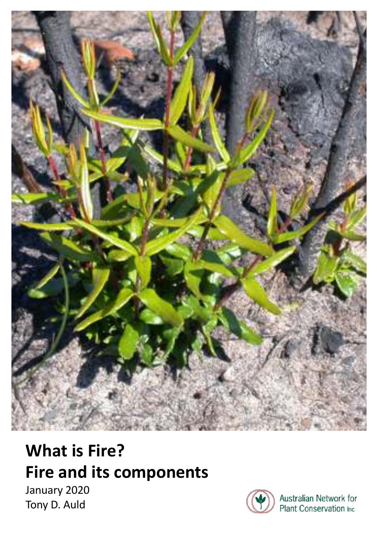

# **What is Fire? Fire and its components**

January 2020 Tony D. Auld



Australian Network for Plant Conservation Inc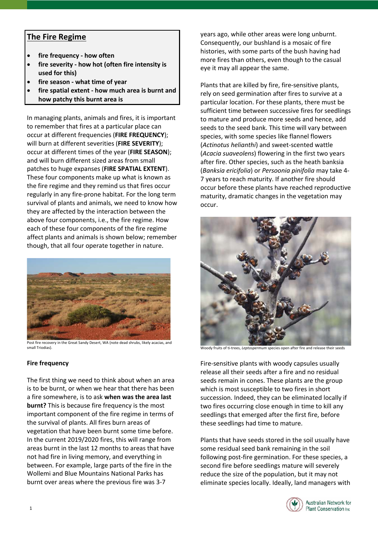# **The Fire Regime**

- **fire frequency how often**
- **fire severity how hot (often fire intensity is used for this)**
- **fire season what time of year**
- **fire spatial extent how much area is burnt and how patchy this burnt area is**

In managing plants, animals and fires, it is important to remember that fires at a particular place can occur at different frequencies (**FIRE FREQUENCY**); will burn at different severities (**FIRE SEVERITY**); occur at different times of the year (**FIRE SEASON**); and will burn different sized areas from small patches to huge expanses (**FIRE SPATIAL EXTENT**). These four components make up what is known as the fire regime and they remind us that fires occur regularly in any fire-prone habitat. For the long term survival of plants and animals, we need to know how they are affected by the interaction between the above four components, i.e., the fire regime. How each of these four components of the fire regime affect plants and animals is shown below; remember though, that all four operate together in nature.



Post fire recovery in the Great Sandy Desert, WA (note dead shrubs, likely acacias, and small Triodias).

# **Fire frequency**

The first thing we need to think about when an area is to be burnt, or when we hear that there has been a fire somewhere, is to ask **when was the area last burnt?** This is because fire frequency is the most important component of the fire regime in terms of the survival of plants. All fires burn areas of vegetation that have been burnt some time before. In the current 2019/2020 fires, this will range from areas burnt in the last 12 months to areas that have not had fire in living memory, and everything in between. For example, large parts of the fire in the Wollemi and Blue Mountains National Parks has burnt over areas where the previous fire was 3-7

years ago, while other areas were long unburnt. Consequently, our bushland is a mosaic of fire histories, with some parts of the bush having had more fires than others, even though to the casual eye it may all appear the same.

Plants that are killed by fire, fire-sensitive plants, rely on seed germination after fires to survive at a particular location. For these plants, there must be sufficient time between successive fires for seedlings to mature and produce more seeds and hence, add seeds to the seed bank. This time will vary between species, with some species like flannel flowers (*Actinotus helianthi*) and sweet-scented wattle (*Acacia suaveolens*) flowering in the first two years after fire. Other species, such as the heath banksia (*Banksia ericifolia*) or *Persoonia pinifolia* may take 4- 7 years to reach maturity. If another fire should occur before these plants have reached reproductive maturity, dramatic changes in the vegetation may occur.



Woody fruits of ti-trees, *Leptospermum* species open after fire and release their seeds

Fire-sensitive plants with woody capsules usually release all their seeds after a fire and no residual seeds remain in cones. These plants are the group which is most susceptible to two fires in short succession. Indeed, they can be eliminated locally if two fires occurring close enough in time to kill any seedlings that emerged after the first fire, before these seedlings had time to mature.

Plants that have seeds stored in the soil usually have some residual seed bank remaining in the soil following post-fire germination. For these species, a second fire before seedlings mature will severely reduce the size of the population, but it may not eliminate species locally. Ideally, land managers with

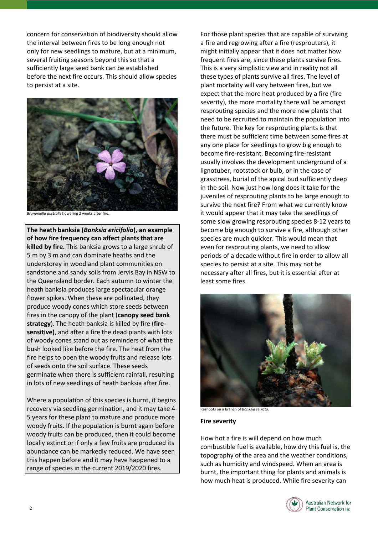concern for conservation of biodiversity should allow the interval between fires to be long enough not only for new seedlings to mature, but at a minimum, several fruiting seasons beyond this so that a sufficiently large seed bank can be established before the next fire occurs. This should allow species to persist at a site.



*Brunoniella australis* flowering 2 weeks after fire.

**The heath banksia (***Banksia ericifolia***), an example of how fire frequency can affect plants that are killed by fire.** This banksia grows to a large shrub of 5 m by 3 m and can dominate heaths and the understorey in woodland plant communities on sandstone and sandy soils from Jervis Bay in NSW to the Queensland border. Each autumn to winter the heath banksia produces large spectacular orange flower spikes. When these are pollinated, they produce woody cones which store seeds between fires in the canopy of the plant (**canopy seed bank strategy**). The heath banksia is killed by fire (**firesensitive)**, and after a fire the dead plants with lots of woody cones stand out as reminders of what the bush looked like before the fire. The heat from the fire helps to open the woody fruits and release lots of seeds onto the soil surface. These seeds germinate when there is sufficient rainfall, resulting in lots of new seedlings of heath banksia after fire.

Where a population of this species is burnt, it begins recovery via seedling germination, and it may take 4- 5 years for these plant to mature and produce more woody fruits. If the population is burnt again before woody fruits can be produced, then it could become locally extinct or if only a few fruits are produced its abundance can be markedly reduced. We have seen this happen before and it may have happened to a range of species in the current 2019/2020 fires.

For those plant species that are capable of surviving a fire and regrowing after a fire (resprouters), it might initially appear that it does not matter how frequent fires are, since these plants survive fires. This is a very simplistic view and in reality not all these types of plants survive all fires. The level of plant mortality will vary between fires, but we expect that the more heat produced by a fire (fire severity), the more mortality there will be amongst resprouting species and the more new plants that need to be recruited to maintain the population into the future. The key for resprouting plants is that there must be sufficient time between some fires at any one place for seedlings to grow big enough to become fire-resistant. Becoming fire-resistant usually involves the development underground of a lignotuber, rootstock or bulb, or in the case of grasstrees, burial of the apical bud sufficiently deep in the soil. Now just how long does it take for the juveniles of resprouting plants to be large enough to survive the next fire? From what we currently know it would appear that it may take the seedlings of some slow growing resprouting species 8-12 years to become big enough to survive a fire, although other species are much quicker. This would mean that even for resprouting plants, we need to allow periods of a decade without fire in order to allow all species to persist at a site. This may not be necessary after all fires, but it is essential after at least some fires.



Reshoots on a branch of *Banksia serrata*.

#### **Fire severity**

How hot a fire is will depend on how much combustible fuel is available, how dry this fuel is, the topography of the area and the weather conditions, such as humidity and windspeed. When an area is burnt, the important thing for plants and animals is how much heat is produced. While fire severity can

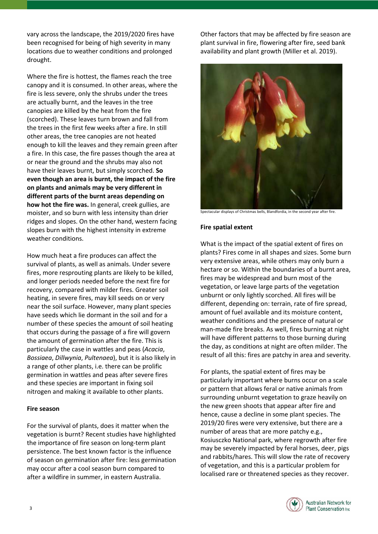vary across the landscape, the 2019/2020 fires have been recognised for being of high severity in many locations due to weather conditions and prolonged drought.

Where the fire is hottest, the flames reach the tree canopy and it is consumed. In other areas, where the fire is less severe, only the shrubs under the trees are actually burnt, and the leaves in the tree canopies are killed by the heat from the fire (scorched). These leaves turn brown and fall from the trees in the first few weeks after a fire. In still other areas, the tree canopies are not heated enough to kill the leaves and they remain green after a fire. In this case, the fire passes though the area at or near the ground and the shrubs may also not have their leaves burnt, but simply scorched. **So even though an area is burnt, the impact of the fire on plants and animals may be very different in different parts of the burnt areas depending on how hot the fire was.** In general, creek gullies, are moister, and so burn with less intensity than drier ridges and slopes. On the other hand, western facing slopes burn with the highest intensity in extreme weather conditions.

How much heat a fire produces can affect the survival of plants, as well as animals. Under severe fires, more resprouting plants are likely to be killed, and longer periods needed before the next fire for recovery, compared with milder fires. Greater soil heating, in severe fires, may kill seeds on or very near the soil surface. However, many plant species have seeds which lie dormant in the soil and for a number of these species the amount of soil heating that occurs during the passage of a fire will govern the amount of germination after the fire. This is particularly the case in wattles and peas (*Acacia*, *Bossiaea*, *Dillwynia*, *Pultenaea*), but it is also likely in a range of other plants, i.e. there can be prolific germination in wattles and peas after severe fires and these species are important in fixing soil nitrogen and making it available to other plants.

# **Fire season**

For the survival of plants, does it matter when the vegetation is burnt? Recent studies have highlighted the importance of fire season on long-term plant persistence. The best known factor is the influence of season on germination after fire: less germination may occur after a cool season burn compared to after a wildfire in summer, in eastern Australia.

Other factors that may be affected by fire season are plant survival in fire, flowering after fire, seed bank availability and plant growth (Miller et al. 2019).



Spectacular displays of Christmas bells, Blandfordia, in the second year after fire.

### **Fire spatial extent**

What is the impact of the spatial extent of fires on plants? Fires come in all shapes and sizes. Some burn very extensive areas, while others may only burn a hectare or so. Within the boundaries of a burnt area, fires may be widespread and burn most of the vegetation, or leave large parts of the vegetation unburnt or only lightly scorched. All fires will be different, depending on: terrain, rate of fire spread, amount of fuel available and its moisture content, weather conditions and the presence of natural or man-made fire breaks. As well, fires burning at night will have different patterns to those burning during the day, as conditions at night are often milder. The result of all this: fires are patchy in area and severity.

For plants, the spatial extent of fires may be particularly important where burns occur on a scale or pattern that allows feral or native animals from surrounding unburnt vegetation to graze heavily on the new green shoots that appear after fire and hence, cause a decline in some plant species. The 2019/20 fires were very extensive, but there are a number of areas that are more patchy e.g., Kosiusczko National park, where regrowth after fire may be severely impacted by feral horses, deer, pigs and rabbits/hares. This will slow the rate of recovery of vegetation, and this is a particular problem for localised rare or threatened species as they recover.